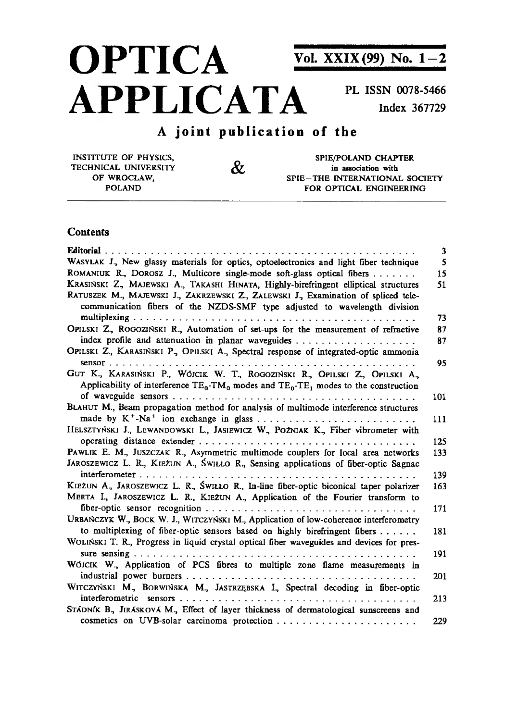# **OPTICA APPLICATA** Vol. XXIX(99) No. 1-2

**PL ISSN 0078-5466 Index 367729**

## **A joint publication of the**

 $\&$ 

INSTITUTE OF PHYSICS, TECHNICAL UNIVERSITY OF WROCŁAW, POLAND

SPIE/POLAND CHAPTER in association with SPIE—THE INTERNATIONAL SOCIETY FOR OPTICAL ENGINEERING

#### **Contents**

|                                                                                                                                                                                                  | 3        |
|--------------------------------------------------------------------------------------------------------------------------------------------------------------------------------------------------|----------|
| WASYLAK J., New glassy materials for optics, optoelectronics and light fiber technique                                                                                                           | 5        |
| ROMANIUK R., DOROSZ J., Multicore single-mode soft-glass optical fibers                                                                                                                          | 15       |
| KRASIŃSKI Z, MAJEWSKI A., TAKASHI HINATA, Highly-birefringent elliptical structures                                                                                                              | 51       |
| RATUSZEK M., MAJEWSKI J., ZAKRZEWSKI Z., ZALEWSKI J., Examination of spliced tele-<br>communication fibers of the NZDS-SMF type adjusted to wavelength division                                  | 73       |
|                                                                                                                                                                                                  |          |
| OPILSKI Z., ROGOZIŃSKI R., Automation of set-ups for the measurement of refractive                                                                                                               | 87<br>87 |
| OPILSKI Z., KARASIŃSKI P., OPILSKI A., Spectral response of integrated-optic ammonia                                                                                                             | 95       |
| GUT K., KARASIŃSKI P., WÓJCIK W. T., ROGOZIŃSKI R., OPILSKI Z., OPILSKI A.,<br>Applicability of interference $TE_0$ -TM <sub>0</sub> modes and $TE_0$ -TE <sub>1</sub> modes to the construction |          |
|                                                                                                                                                                                                  | 101      |
| BLAHUT M., Beam propagation method for analysis of multimode interference structures                                                                                                             |          |
|                                                                                                                                                                                                  | 111      |
| HELSZTYŃSKI J., LEWANDOWSKI L., JASIEWICZ W., POŹNIAK K., Fiber vibrometer with                                                                                                                  |          |
|                                                                                                                                                                                                  | 125      |
| PAWLIK E. M., JUSZCZAK R., Asymmetric multimode couplers for local area networks                                                                                                                 | 133      |
| JAROSZEWICZ L. R., KIEŻUN A., ŚWIŁŁO R., Sensing applications of fiber-optic Sagnac                                                                                                              |          |
|                                                                                                                                                                                                  | 139      |
| KIEZUN A., JAROSZEWICZ L. R., ŚWIŁŁO R., In-line fiber-optic biconical taper polarizer                                                                                                           | 163      |
| MERTA I., JAROSZEWICZ L. R., KIEŻUN A., Application of the Fourier transform to                                                                                                                  |          |
|                                                                                                                                                                                                  | 171      |
| URBAŃCZYK W., BOCK W. J., WITCZYŃSKI M., Application of low-coherence interferometry                                                                                                             |          |
| to multiplexing of fiber-optic sensors based on highly birefringent fibers $\dots$                                                                                                               | 181      |
| WOLINSKI T. R., Progress in liquid crystal optical fiber waveguides and devices for pres-                                                                                                        | 191      |
| WOJCIK W., Application of PCS fibres to multiple zone flame measurements in                                                                                                                      |          |
|                                                                                                                                                                                                  | 201      |
| WITCZYŃSKI M., BORWIŃSKA M., JASTRZĘBSKA I., Spectral decoding in fiber-optic                                                                                                                    |          |
|                                                                                                                                                                                                  | 213      |
| STÁDNÍK B., JIRÁSKOVÁ M., Effect of layer thickness of dermatological sunscreens and                                                                                                             |          |
|                                                                                                                                                                                                  | 229      |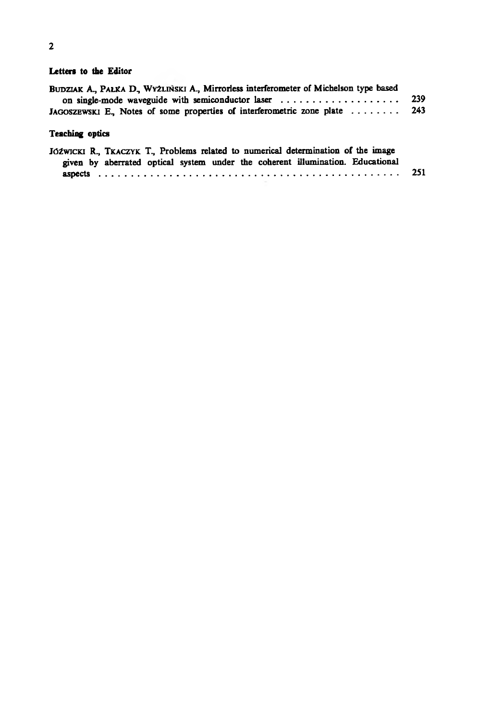#### Letters to the Editor

| BUDZIAK A., PALKA D., WYŻLINSKI A., Mirrorless interferometer of Michelson type based  |  |
|----------------------------------------------------------------------------------------|--|
|                                                                                        |  |
| JAGOSZEWSKI E <sub>2</sub> Notes of some properties of interferometric zone plate  243 |  |
| <b>Teaching optics</b>                                                                 |  |
| Isterate D. Treasure T. Deabless pointed to accorded determination of the image        |  |

| Jóźwicki R., Tkaczyk T., Problems related to numerical determination of the image |  |  |  |  |  |  |  |  |  |  |  |  |
|-----------------------------------------------------------------------------------|--|--|--|--|--|--|--|--|--|--|--|--|
| given by aberrated optical system under the coherent illumination. Educational    |  |  |  |  |  |  |  |  |  |  |  |  |
|                                                                                   |  |  |  |  |  |  |  |  |  |  |  |  |